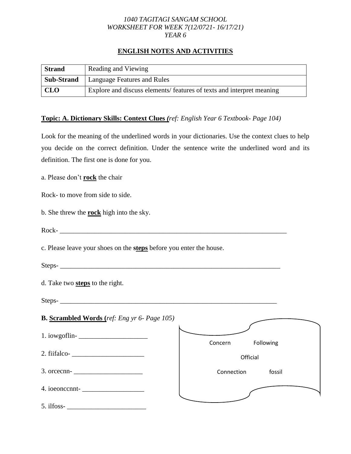#### *1040 TAGITAGI SANGAM SCHOOL WORKSHEET FOR WEEK 7(12/0721- 16/17/21) YEAR 6*

# **ENGLISH NOTES AND ACTIVITIES**

| <b>Strand</b>     | Reading and Viewing                                                  |
|-------------------|----------------------------------------------------------------------|
| <b>Sub-Strand</b> | Language Features and Rules                                          |
| <b>CLO</b>        | Explore and discuss elements/features of texts and interpret meaning |

### **Topic: A. Dictionary Skills: Context Clues** *(ref: English Year 6 Textbook- Page 104)*

Look for the meaning of the underlined words in your dictionaries. Use the context clues to help you decide on the correct definition. Under the sentence write the underlined word and its definition. The first one is done for you.

a. Please don't **rock** the chair

Rock- to move from side to side.

- b. She threw the **rock** high into the sky.
- Rock- \_\_\_\_\_\_\_\_\_\_\_\_\_\_\_\_\_\_\_\_\_\_\_\_\_\_\_\_\_\_\_\_\_\_\_\_\_\_\_\_\_\_\_\_\_\_\_\_\_\_\_\_\_\_\_\_\_\_\_\_\_\_\_\_\_\_

c. Please leave your shoes on the **steps** before you enter the house.

Steps-

d. Take two **steps** to the right.

Steps-

| <b>B.</b> Scrambled Words (ref: Eng yr 6- Page 105) |                      |
|-----------------------------------------------------|----------------------|
|                                                     | Following<br>Concern |
| 2. fiifalco-<br><u> </u>                            | Official             |
| $3. \text{ oncecm}$ -                               | fossil<br>Connection |
| $4. ioeoncent-$                                     |                      |
| 5. ilfoss-                                          |                      |